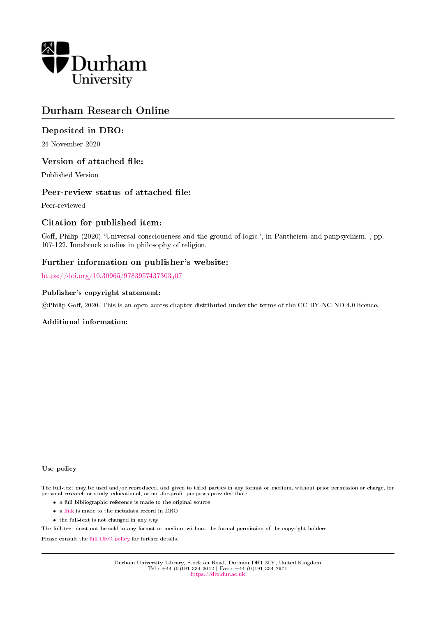

# Durham Research Online

# Deposited in DRO:

24 November 2020

## Version of attached file:

Published Version

### Peer-review status of attached file:

Peer-reviewed

# Citation for published item:

Goff, Philip (2020) 'Universal consciousness and the ground of logic.', in Pantheism and panpsychism., pp. 107-122. Innsbruck studies in philosophy of religion.

## Further information on publisher's website:

[https://doi.org/10.30965/9783957437303](https://doi.org/10.30965/9783957437303_007)<sub>0</sub>07

### Publisher's copyright statement:

c Philip Go, 2020. This is an open access chapter distributed under the terms of the CC BY-NC-ND 4.0 licence.

### Additional information:

#### Use policy

The full-text may be used and/or reproduced, and given to third parties in any format or medium, without prior permission or charge, for personal research or study, educational, or not-for-profit purposes provided that:

- a full bibliographic reference is made to the original source
- a [link](http://dro.dur.ac.uk/32227/) is made to the metadata record in DRO
- the full-text is not changed in any way

The full-text must not be sold in any format or medium without the formal permission of the copyright holders.

Please consult the [full DRO policy](https://dro.dur.ac.uk/policies/usepolicy.pdf) for further details.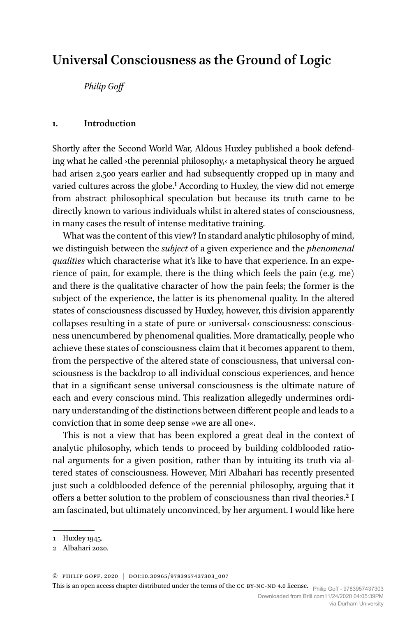# **Universal Consciousness as the Ground of Logic**

*Philip Goff*

#### **1. Introduction**

Shortly after the Second World War, Aldous Huxley published a book defending what he called ›the perennial philosophy,‹ a metaphysical theory he argued had arisen 2,500 years earlier and had subsequently cropped up in many and varied cultures across the globe.<sup>1</sup> According to Huxley, the view did not emerge from abstract philosophical speculation but because its truth came to be directly known to various individuals whilst in altered states of consciousness, in many cases the result of intense meditative training.

What was the content of this view? In standard analytic philosophy of mind, we distinguish between the *subject* of a given experience and the *phenomenal qualities* which characterise what it's like to have that experience. In an experience of pain, for example, there is the thing which feels the pain (e.g. me) and there is the qualitative character of how the pain feels; the former is the subject of the experience, the latter is its phenomenal quality. In the altered states of consciousness discussed by Huxley, however, this division apparently collapses resulting in a state of pure or ›universal‹ consciousness: consciousness unencumbered by phenomenal qualities. More dramatically, people who achieve these states of consciousness claim that it becomes apparent to them, from the perspective of the altered state of consciousness, that universal consciousness is the backdrop to all individual conscious experiences, and hence that in a significant sense universal consciousness is the ultimate nature of each and every conscious mind. This realization allegedly undermines ordinary understanding of the distinctions between different people and leads to a conviction that in some deep sense »we are all one«.

This is not a view that has been explored a great deal in the context of analytic philosophy, which tends to proceed by building coldblooded rational arguments for a given position, rather than by intuiting its truth via altered states of consciousness. However, Miri Albahari has recently presented just such a coldblooded defence of the perennial philosophy, arguing that it offers a better solution to the problem of consciousness than rival theories.<sup>2</sup> I am fascinated, but ultimately unconvinced, by her argument. I would like here

© Philip Goff, 2020 | doi:10.30965/9783957437303\_007

[This is an open access chapter distributed under the terms of the CC BY-NC-ND](https://creativecommons.org/licenses/by-nc-nd/4.0/) 4.0 license. <sub>Philip Goff - 9783957437303</sub>

<sup>1</sup> Huxley 1945.

<sup>2</sup> Albahari 2020.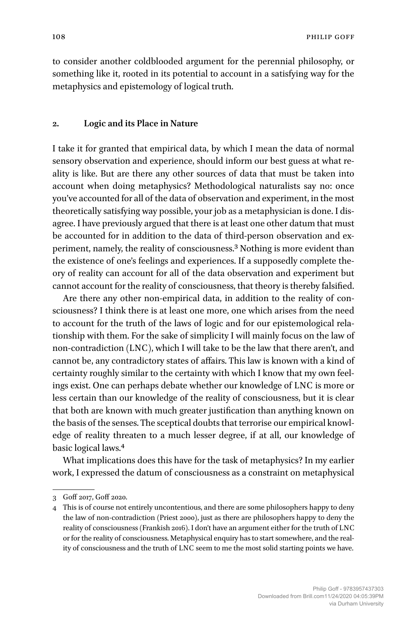to consider another coldblooded argument for the perennial philosophy, or something like it, rooted in its potential to account in a satisfying way for the metaphysics and epistemology of logical truth.

#### **2. Logic and its Place in Nature**

I take it for granted that empirical data, by which I mean the data of normal sensory observation and experience, should inform our best guess at what reality is like. But are there any other sources of data that must be taken into account when doing metaphysics? Methodological naturalists say no: once you've accounted for all of the data of observation and experiment, in the most theoretically satisfying way possible, your job as a metaphysician is done. I disagree. I have previously argued that there is at least one other datum that must be accounted for in addition to the data of third-person observation and experiment, namely, the reality of consciousness.3 Nothing is more evident than the existence of one's feelings and experiences. If a supposedly complete theory of reality can account for all of the data observation and experiment but cannot account for the reality of consciousness, that theory is thereby falsified.

Are there any other non-empirical data, in addition to the reality of consciousness? I think there is at least one more, one which arises from the need to account for the truth of the laws of logic and for our epistemological relationship with them. For the sake of simplicity I will mainly focus on the law of non-contradiction (LNC), which I will take to be the law that there aren't, and cannot be, any contradictory states of affairs. This law is known with a kind of certainty roughly similar to the certainty with which I know that my own feelings exist. One can perhaps debate whether our knowledge of LNC is more or less certain than our knowledge of the reality of consciousness, but it is clear that both are known with much greater justification than anything known on the basis of the senses. The sceptical doubts that terrorise our empirical knowledge of reality threaten to a much lesser degree, if at all, our knowledge of basic logical laws.4

What implications does this have for the task of metaphysics? In my earlier work, I expressed the datum of consciousness as a constraint on metaphysical

<sup>3</sup> Goff 2017, Goff 2020.

<sup>4</sup> This is of course not entirely uncontentious, and there are some philosophers happy to deny the law of non-contradiction (Priest 2000), just as there are philosophers happy to deny the reality of consciousness (Frankish 2016). I don't have an argument either for the truth of LNC or for the reality of consciousness. Metaphysical enquiry has to start somewhere, and the reality of consciousness and the truth of LNC seem to me the most solid starting points we have.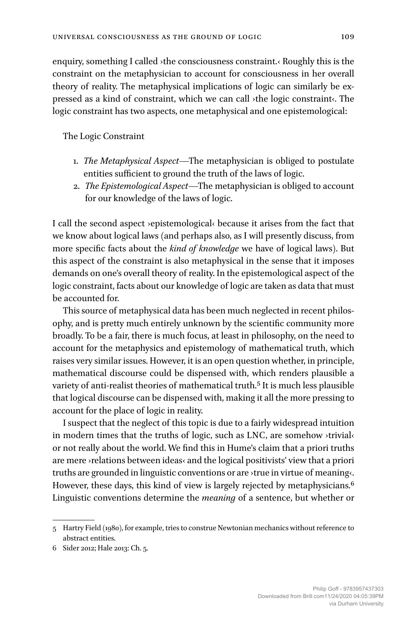enquiry, something I called ›the consciousness constraint.‹ Roughly this is the constraint on the metaphysician to account for consciousness in her overall theory of reality. The metaphysical implications of logic can similarly be expressed as a kind of constraint, which we can call >the logic constraint<. The logic constraint has two aspects, one metaphysical and one epistemological:

The Logic Constraint

- 1. *The Metaphysical Aspect*—The metaphysician is obliged to postulate entities sufficient to ground the truth of the laws of logic.
- 2. *The Epistemological Aspect*—The metaphysician is obliged to account for our knowledge of the laws of logic.

I call the second aspect ›epistemological‹ because it arises from the fact that we know about logical laws (and perhaps also, as I will presently discuss, from more specific facts about the *kind of knowledge* we have of logical laws). But this aspect of the constraint is also metaphysical in the sense that it imposes demands on one's overall theory of reality. In the epistemological aspect of the logic constraint, facts about our knowledge of logic are taken as data that must be accounted for.

This source of metaphysical data has been much neglected in recent philosophy, and is pretty much entirely unknown by the scientific community more broadly. To be a fair, there is much focus, at least in philosophy, on the need to account for the metaphysics and epistemology of mathematical truth, which raises very similar issues. However, it is an open question whether, in principle, mathematical discourse could be dispensed with, which renders plausible a variety of anti-realist theories of mathematical truth.<sup>5</sup> It is much less plausible that logical discourse can be dispensed with, making it all the more pressing to account for the place of logic in reality.

I suspect that the neglect of this topic is due to a fairly widespread intuition in modern times that the truths of logic, such as LNC, are somehow >trivial< or not really about the world. We find this in Hume's claim that a priori truths are mere ›relations between ideas‹ and the logical positivists' view that a priori truths are grounded in linguistic conventions or are ›true in virtue of meaning‹. However, these days, this kind of view is largely rejected by metaphysicians.<sup>6</sup> Linguistic conventions determine the *meaning* of a sentence, but whether or

<sup>5</sup> Hartry Field (1980), for example, tries to construe Newtonian mechanics without reference to abstract entities.

<sup>6</sup> Sider 2012; Hale 2013: Ch. 5.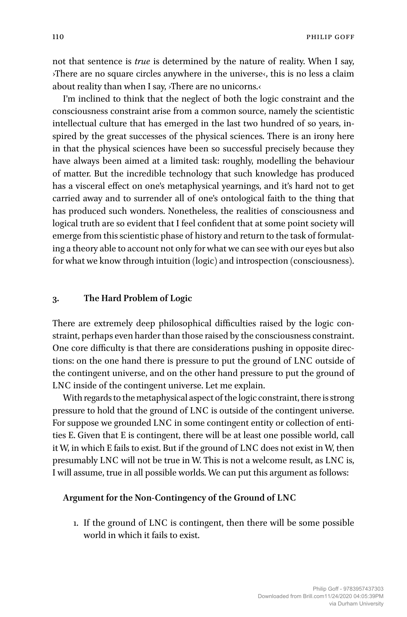not that sentence is *true* is determined by the nature of reality. When I say, ›There are no square circles anywhere in the universe‹, this is no less a claim about reality than when I say, ›There are no unicorns.‹

I'm inclined to think that the neglect of both the logic constraint and the consciousness constraint arise from a common source, namely the scientistic intellectual culture that has emerged in the last two hundred of so years, inspired by the great successes of the physical sciences. There is an irony here in that the physical sciences have been so successful precisely because they have always been aimed at a limited task: roughly, modelling the behaviour of matter. But the incredible technology that such knowledge has produced has a visceral effect on one's metaphysical yearnings, and it's hard not to get carried away and to surrender all of one's ontological faith to the thing that has produced such wonders. Nonetheless, the realities of consciousness and logical truth are so evident that I feel confident that at some point society will emerge from this scientistic phase of history and return to the task of formulating a theory able to account not only for what we can see with our eyes but also for what we know through intuition (logic) and introspection (consciousness).

#### **3. The Hard Problem of Logic**

There are extremely deep philosophical difficulties raised by the logic constraint, perhaps even harder than those raised by the consciousness constraint. One core difficulty is that there are considerations pushing in opposite directions: on the one hand there is pressure to put the ground of LNC outside of the contingent universe, and on the other hand pressure to put the ground of LNC inside of the contingent universe. Let me explain.

With regards to the metaphysical aspect of the logic constraint, there is strong pressure to hold that the ground of LNC is outside of the contingent universe. For suppose we grounded LNC in some contingent entity or collection of entities E. Given that E is contingent, there will be at least one possible world, call it W, in which E fails to exist. But if the ground of LNC does not exist in W, then presumably LNC will not be true in W. This is not a welcome result, as LNC is, I will assume, true in all possible worlds. We can put this argument as follows:

#### **Argument for the Non-Contingency of the Ground of LNC**

1. If the ground of LNC is contingent, then there will be some possible world in which it fails to exist.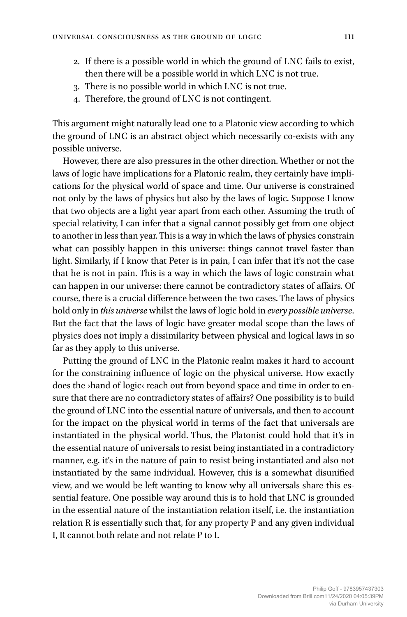- 2. If there is a possible world in which the ground of LNC fails to exist, then there will be a possible world in which LNC is not true.
- 3. There is no possible world in which LNC is not true.
- 4. Therefore, the ground of LNC is not contingent.

This argument might naturally lead one to a Platonic view according to which the ground of LNC is an abstract object which necessarily co-exists with any possible universe.

However, there are also pressures in the other direction. Whether or not the laws of logic have implications for a Platonic realm, they certainly have implications for the physical world of space and time. Our universe is constrained not only by the laws of physics but also by the laws of logic. Suppose I know that two objects are a light year apart from each other. Assuming the truth of special relativity, I can infer that a signal cannot possibly get from one object to another in less than year. This is a way in which the laws of physics constrain what can possibly happen in this universe: things cannot travel faster than light. Similarly, if I know that Peter is in pain, I can infer that it's not the case that he is not in pain. This is a way in which the laws of logic constrain what can happen in our universe: there cannot be contradictory states of affairs. Of course, there is a crucial difference between the two cases. The laws of physics hold only in *this universe* whilst the laws of logic hold in *every possible universe*. But the fact that the laws of logic have greater modal scope than the laws of physics does not imply a dissimilarity between physical and logical laws in so far as they apply to this universe.

Putting the ground of LNC in the Platonic realm makes it hard to account for the constraining influence of logic on the physical universe. How exactly does the >hand of logic< reach out from beyond space and time in order to ensure that there are no contradictory states of affairs? One possibility is to build the ground of LNC into the essential nature of universals, and then to account for the impact on the physical world in terms of the fact that universals are instantiated in the physical world. Thus, the Platonist could hold that it's in the essential nature of universals to resist being instantiated in a contradictory manner, e.g. it's in the nature of pain to resist being instantiated and also not instantiated by the same individual. However, this is a somewhat disunified view, and we would be left wanting to know why all universals share this essential feature. One possible way around this is to hold that LNC is grounded in the essential nature of the instantiation relation itself, i.e. the instantiation relation R is essentially such that, for any property P and any given individual I, R cannot both relate and not relate P to I.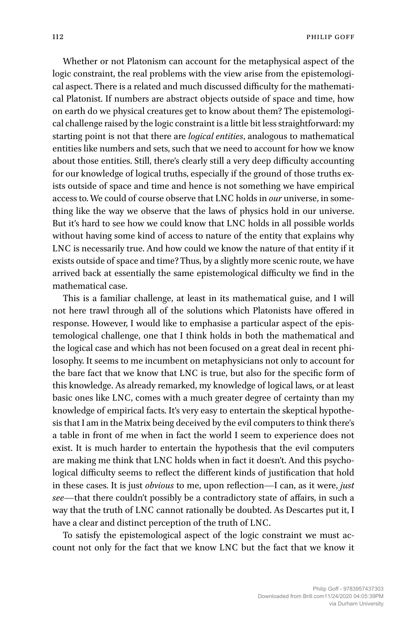112 **Philip Goff** Philip Goff

Whether or not Platonism can account for the metaphysical aspect of the logic constraint, the real problems with the view arise from the epistemological aspect. There is a related and much discussed difficulty for the mathematical Platonist. If numbers are abstract objects outside of space and time, how on earth do we physical creatures get to know about them? The epistemological challenge raised by the logic constraint is a little bit less straightforward: my starting point is not that there are *logical entities*, analogous to mathematical entities like numbers and sets, such that we need to account for how we know about those entities. Still, there's clearly still a very deep difficulty accounting for our knowledge of logical truths, especially if the ground of those truths exists outside of space and time and hence is not something we have empirical access to. We could of course observe that LNC holds in *our* universe, in something like the way we observe that the laws of physics hold in our universe. But it's hard to see how we could know that LNC holds in all possible worlds without having some kind of access to nature of the entity that explains why LNC is necessarily true. And how could we know the nature of that entity if it exists outside of space and time? Thus, by a slightly more scenic route, we have arrived back at essentially the same epistemological difficulty we find in the mathematical case.

This is a familiar challenge, at least in its mathematical guise, and I will not here trawl through all of the solutions which Platonists have offered in response. However, I would like to emphasise a particular aspect of the epistemological challenge, one that I think holds in both the mathematical and the logical case and which has not been focused on a great deal in recent philosophy. It seems to me incumbent on metaphysicians not only to account for the bare fact that we know that LNC is true, but also for the specific form of this knowledge. As already remarked, my knowledge of logical laws, or at least basic ones like LNC, comes with a much greater degree of certainty than my knowledge of empirical facts. It's very easy to entertain the skeptical hypothesis that I am in the Matrix being deceived by the evil computers to think there's a table in front of me when in fact the world I seem to experience does not exist. It is much harder to entertain the hypothesis that the evil computers are making me think that LNC holds when in fact it doesn't. And this psychological difficulty seems to reflect the different kinds of justification that hold in these cases. It is just *obvious* to me, upon reflection—I can, as it were, *just see*—that there couldn't possibly be a contradictory state of affairs, in such a way that the truth of LNC cannot rationally be doubted. As Descartes put it, I have a clear and distinct perception of the truth of LNC.

To satisfy the epistemological aspect of the logic constraint we must account not only for the fact that we know LNC but the fact that we know it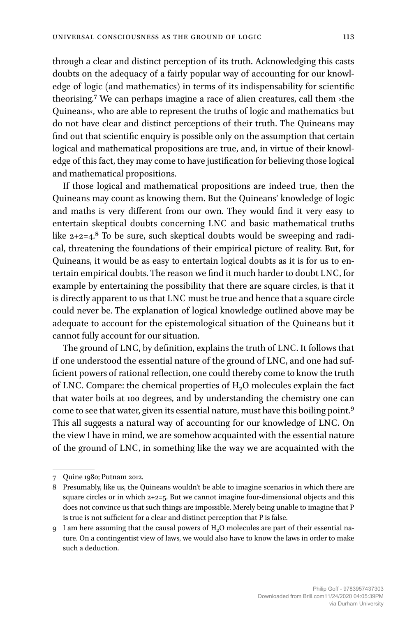through a clear and distinct perception of its truth. Acknowledging this casts doubts on the adequacy of a fairly popular way of accounting for our knowledge of logic (and mathematics) in terms of its indispensability for scientific theorising.7 We can perhaps imagine a race of alien creatures, call them ›the Quineans«, who are able to represent the truths of logic and mathematics but do not have clear and distinct perceptions of their truth. The Quineans may find out that scientific enquiry is possible only on the assumption that certain logical and mathematical propositions are true, and, in virtue of their knowledge of this fact, they may come to have justification for believing those logical and mathematical propositions.

If those logical and mathematical propositions are indeed true, then the Quineans may count as knowing them. But the Quineans' knowledge of logic and maths is very different from our own. They would find it very easy to entertain skeptical doubts concerning LNC and basic mathematical truths like  $2+2=4$ .<sup>8</sup> To be sure, such skeptical doubts would be sweeping and radical, threatening the foundations of their empirical picture of reality. But, for Quineans, it would be as easy to entertain logical doubts as it is for us to entertain empirical doubts. The reason we find it much harder to doubt LNC, for example by entertaining the possibility that there are square circles, is that it is directly apparent to us that LNC must be true and hence that a square circle could never be. The explanation of logical knowledge outlined above may be adequate to account for the epistemological situation of the Quineans but it cannot fully account for our situation.

The ground of LNC, by definition, explains the truth of LNC. It follows that if one understood the essential nature of the ground of LNC, and one had sufficient powers of rational reflection, one could thereby come to know the truth of LNC. Compare: the chemical properties of  $H_2O$  molecules explain the fact that water boils at 100 degrees, and by understanding the chemistry one can come to see that water, given its essential nature, must have this boiling point.<sup>9</sup> This all suggests a natural way of accounting for our knowledge of LNC. On the view I have in mind, we are somehow acquainted with the essential nature of the ground of LNC, in something like the way we are acquainted with the

<sup>7</sup> Quine 1980; Putnam 2012.

<sup>8</sup> Presumably, like us, the Quineans wouldn't be able to imagine scenarios in which there are square circles or in which 2+2=5. But we cannot imagine four-dimensional objects and this does not convince us that such things are impossible. Merely being unable to imagine that P is true is not sufficient for a clear and distinct perception that P is false.

<sup>9</sup> I am here assuming that the causal powers of  $H_2O$  molecules are part of their essential nature. On a contingentist view of laws, we would also have to know the laws in order to make such a deduction.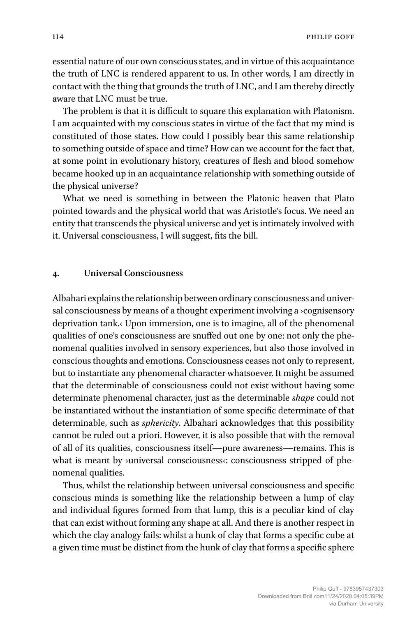essential nature of our own conscious states, and in virtue of this acquaintance the truth of LNC is rendered apparent to us. In other words, I am directly in contact with the thing that grounds the truth of LNC, and I am thereby directly aware that LNC must be true.

The problem is that it is difficult to square this explanation with Platonism. I am acquainted with my conscious states in virtue of the fact that my mind is constituted of those states. How could I possibly bear this same relationship to something outside of space and time? How can we account for the fact that, at some point in evolutionary history, creatures of flesh and blood somehow became hooked up in an acquaintance relationship with something outside of the physical universe?

What we need is something in between the Platonic heaven that Plato pointed towards and the physical world that was Aristotle's focus. We need an entity that transcends the physical universe and yet is intimately involved with it. Universal consciousness, I will suggest, fits the bill.

#### **4. Universal Consciousness**

Albahari explains the relationship between ordinary consciousness and universal consciousness by means of a thought experiment involving a *>cognisensory* deprivation tank.‹ Upon immersion, one is to imagine, all of the phenomenal qualities of one's consciousness are snuffed out one by one: not only the phenomenal qualities involved in sensory experiences, but also those involved in conscious thoughts and emotions. Consciousness ceases not only to represent, but to instantiate any phenomenal character whatsoever. It might be assumed that the determinable of consciousness could not exist without having some determinate phenomenal character, just as the determinable *shape* could not be instantiated without the instantiation of some specific determinate of that determinable, such as *sphericity*. Albahari acknowledges that this possibility cannot be ruled out a priori. However, it is also possible that with the removal of all of its qualities, consciousness itself—pure awareness—remains. This is what is meant by >universal consciousness<: consciousness stripped of phenomenal qualities.

Thus, whilst the relationship between universal consciousness and specific conscious minds is something like the relationship between a lump of clay and individual figures formed from that lump, this is a peculiar kind of clay that can exist without forming any shape at all. And there is another respect in which the clay analogy fails: whilst a hunk of clay that forms a specific cube at a given time must be distinct from the hunk of clay that forms a specific sphere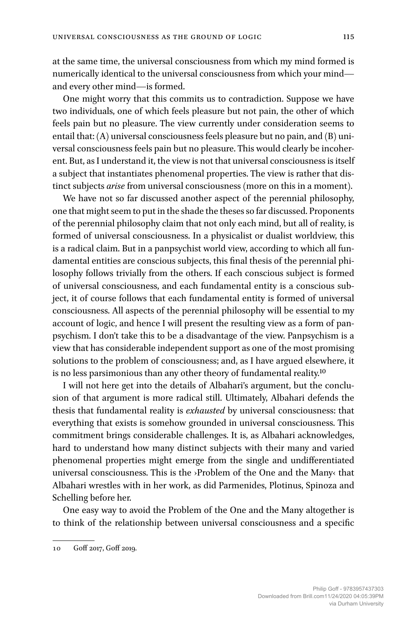at the same time, the universal consciousness from which my mind formed is numerically identical to the universal consciousness from which your mind and every other mind—is formed.

One might worry that this commits us to contradiction. Suppose we have two individuals, one of which feels pleasure but not pain, the other of which feels pain but no pleasure. The view currently under consideration seems to entail that: (A) universal consciousness feels pleasure but no pain, and (B) universal consciousness feels pain but no pleasure. This would clearly be incoherent. But, as I understand it, the view is not that universal consciousness is itself a subject that instantiates phenomenal properties. The view is rather that distinct subjects *arise* from universal consciousness (more on this in a moment).

We have not so far discussed another aspect of the perennial philosophy, one that might seem to put in the shade the theses so far discussed. Proponents of the perennial philosophy claim that not only each mind, but all of reality, is formed of universal consciousness. In a physicalist or dualist worldview, this is a radical claim. But in a panpsychist world view, according to which all fundamental entities are conscious subjects, this final thesis of the perennial philosophy follows trivially from the others. If each conscious subject is formed of universal consciousness, and each fundamental entity is a conscious subject, it of course follows that each fundamental entity is formed of universal consciousness. All aspects of the perennial philosophy will be essential to my account of logic, and hence I will present the resulting view as a form of panpsychism. I don't take this to be a disadvantage of the view. Panpsychism is a view that has considerable independent support as one of the most promising solutions to the problem of consciousness; and, as I have argued elsewhere, it is no less parsimonious than any other theory of fundamental reality.10

I will not here get into the details of Albahari's argument, but the conclusion of that argument is more radical still. Ultimately, Albahari defends the thesis that fundamental reality is *exhausted* by universal consciousness: that everything that exists is somehow grounded in universal consciousness. This commitment brings considerable challenges. It is, as Albahari acknowledges, hard to understand how many distinct subjects with their many and varied phenomenal properties might emerge from the single and undifferentiated universal consciousness. This is the ›Problem of the One and the Many‹ that Albahari wrestles with in her work, as did Parmenides, Plotinus, Spinoza and Schelling before her.

One easy way to avoid the Problem of the One and the Many altogether is to think of the relationship between universal consciousness and a specific

<sup>10</sup> Goff 2017, Goff 2019.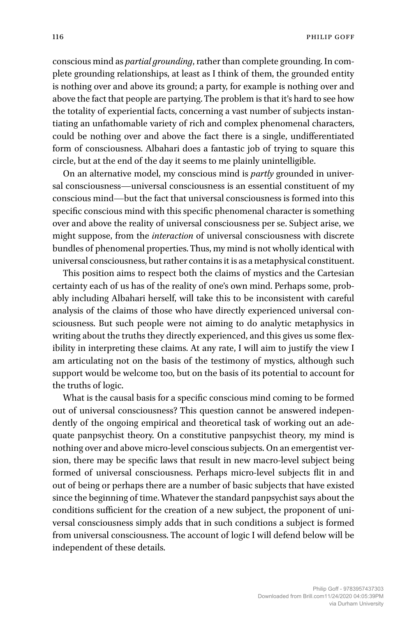conscious mind as *partial grounding*, rather than complete grounding. In complete grounding relationships, at least as I think of them, the grounded entity is nothing over and above its ground; a party, for example is nothing over and above the fact that people are partying. The problem is that it's hard to see how the totality of experiential facts, concerning a vast number of subjects instantiating an unfathomable variety of rich and complex phenomenal characters, could be nothing over and above the fact there is a single, undifferentiated form of consciousness. Albahari does a fantastic job of trying to square this circle, but at the end of the day it seems to me plainly unintelligible.

On an alternative model, my conscious mind is *partly* grounded in universal consciousness—universal consciousness is an essential constituent of my conscious mind—but the fact that universal consciousness is formed into this specific conscious mind with this specific phenomenal character is something over and above the reality of universal consciousness per se. Subject arise, we might suppose, from the *interaction* of universal consciousness with discrete bundles of phenomenal properties. Thus, my mind is not wholly identical with universal consciousness, but rather contains it is as a metaphysical constituent.

This position aims to respect both the claims of mystics and the Cartesian certainty each of us has of the reality of one's own mind. Perhaps some, probably including Albahari herself, will take this to be inconsistent with careful analysis of the claims of those who have directly experienced universal consciousness. But such people were not aiming to do analytic metaphysics in writing about the truths they directly experienced, and this gives us some flexibility in interpreting these claims. At any rate, I will aim to justify the view I am articulating not on the basis of the testimony of mystics, although such support would be welcome too, but on the basis of its potential to account for the truths of logic.

What is the causal basis for a specific conscious mind coming to be formed out of universal consciousness? This question cannot be answered independently of the ongoing empirical and theoretical task of working out an adequate panpsychist theory. On a constitutive panpsychist theory, my mind is nothing over and above micro-level conscious subjects. On an emergentist version, there may be specific laws that result in new macro-level subject being formed of universal consciousness. Perhaps micro-level subjects flit in and out of being or perhaps there are a number of basic subjects that have existed since the beginning of time. Whatever the standard panpsychist says about the conditions sufficient for the creation of a new subject, the proponent of universal consciousness simply adds that in such conditions a subject is formed from universal consciousness. The account of logic I will defend below will be independent of these details.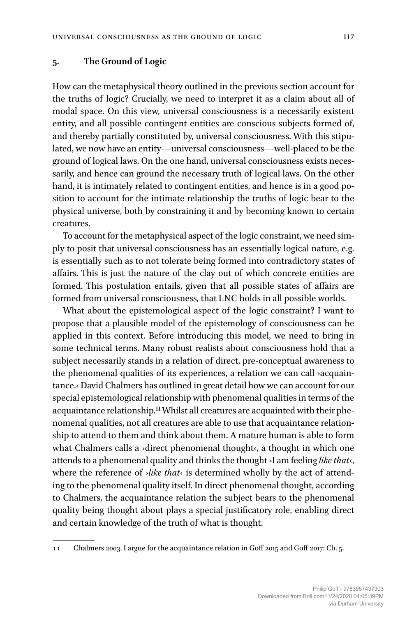#### **5. The Ground of Logic**

How can the metaphysical theory outlined in the previous section account for the truths of logic? Crucially, we need to interpret it as a claim about all of modal space. On this view, universal consciousness is a necessarily existent entity, and all possible contingent entities are conscious subjects formed of, and thereby partially constituted by, universal consciousness. With this stipulated, we now have an entity—universal consciousness—well-placed to be the ground of logical laws. On the one hand, universal consciousness exists necessarily, and hence can ground the necessary truth of logical laws. On the other hand, it is intimately related to contingent entities, and hence is in a good position to account for the intimate relationship the truths of logic bear to the physical universe, both by constraining it and by becoming known to certain creatures.

To account for the metaphysical aspect of the logic constraint, we need simply to posit that universal consciousness has an essentially logical nature, e.g. is essentially such as to not tolerate being formed into contradictory states of affairs. This is just the nature of the clay out of which concrete entities are formed. This postulation entails, given that all possible states of affairs are formed from universal consciousness, that LNC holds in all possible worlds.

What about the epistemological aspect of the logic constraint? I want to propose that a plausible model of the epistemology of consciousness can be applied in this context. Before introducing this model, we need to bring in some technical terms. Many robust realists about consciousness hold that a subject necessarily stands in a relation of direct, pre-conceptual awareness to the phenomenal qualities of its experiences, a relation we can call ›acquaintance.‹ David Chalmers has outlined in great detail how we can account for our special epistemological relationship with phenomenal qualities in terms of the acquaintance relationship.11 Whilst all creatures are acquainted with their phenomenal qualities, not all creatures are able to use that acquaintance relationship to attend to them and think about them. A mature human is able to form what Chalmers calls a *>*direct phenomenal thought<, a thought in which one attends to a phenomenal quality and thinks the thought ›I am feeling *like that*‹, where the reference of *>like that*< is determined wholly by the act of attending to the phenomenal quality itself. In direct phenomenal thought, according to Chalmers, the acquaintance relation the subject bears to the phenomenal quality being thought about plays a special justificatory role, enabling direct and certain knowledge of the truth of what is thought.

<sup>11</sup> Chalmers 2003. I argue for the acquaintance relation in Goff 2015 and Goff 2017: Ch. 5.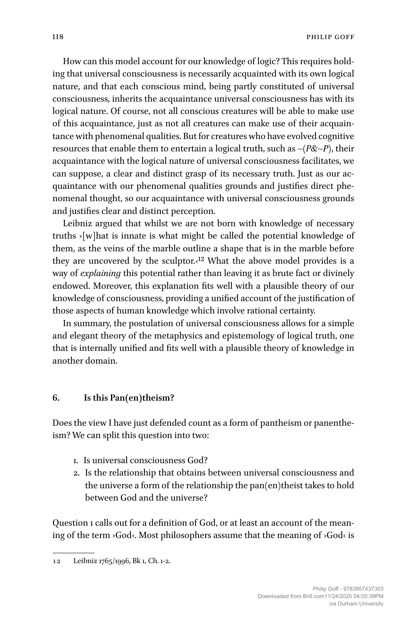How can this model account for our knowledge of logic? This requires holding that universal consciousness is necessarily acquainted with its own logical nature, and that each conscious mind, being partly constituted of universal consciousness, inherits the acquaintance universal consciousness has with its logical nature. Of course, not all conscious creatures will be able to make use of this acquaintance, just as not all creatures can make use of their acquaintance with phenomenal qualities. But for creatures who have evolved cognitive resources that enable them to entertain a logical truth, such as *~(P&~P)*, their acquaintance with the logical nature of universal consciousness facilitates, we can suppose, a clear and distinct grasp of its necessary truth. Just as our acquaintance with our phenomenal qualities grounds and justifies direct phenomenal thought, so our acquaintance with universal consciousness grounds and justifies clear and distinct perception.

Leibniz argued that whilst we are not born with knowledge of necessary truths ›[w]hat is innate is what might be called the potential knowledge of them, as the veins of the marble outline a shape that is in the marble before they are uncovered by the sculptor.‹12 What the above model provides is a way of *explaining* this potential rather than leaving it as brute fact or divinely endowed. Moreover, this explanation fits well with a plausible theory of our knowledge of consciousness, providing a unified account of the justification of those aspects of human knowledge which involve rational certainty.

In summary, the postulation of universal consciousness allows for a simple and elegant theory of the metaphysics and epistemology of logical truth, one that is internally unified and fits well with a plausible theory of knowledge in another domain.

#### **6. Is this Pan(en)theism?**

Does the view I have just defended count as a form of pantheism or panentheism? We can split this question into two:

- 1. Is universal consciousness God?
- 2. Is the relationship that obtains between universal consciousness and the universe a form of the relationship the pan(en)theist takes to hold between God and the universe?

Question 1 calls out for a definition of God, or at least an account of the meaning of the term ›God‹. Most philosophers assume that the meaning of ›God‹ is

<sup>12</sup> Leibniz 1765/1996, Bk 1, Ch. 1-2.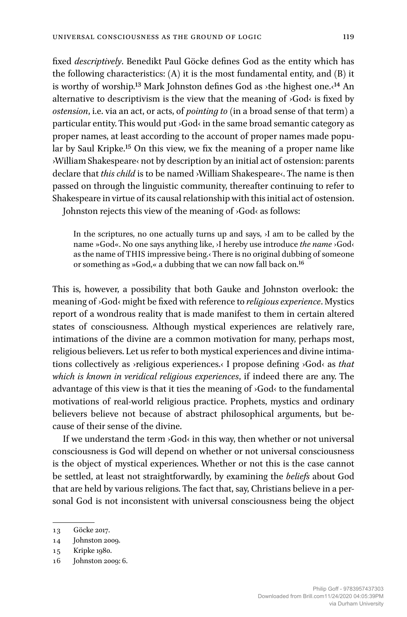fixed *descriptively*. Benedikt Paul Göcke defines God as the entity which has the following characteristics: (A) it is the most fundamental entity, and (B) it is worthy of worship.13 Mark Johnston defines God as ›the highest one.‹14 An alternative to descriptivism is the view that the meaning of  $\times$ God $\times$  is fixed by *ostension*, i.e. via an act, or acts, of *pointing to* (in a broad sense of that term) a particular entity. This would put ›God‹ in the same broad semantic category as proper names, at least according to the account of proper names made popular by Saul Kripke.15 On this view, we fix the meaning of a proper name like ›William Shakespeare‹ not by description by an initial act of ostension: parents declare that *this child* is to be named ›William Shakespeare‹. The name is then passed on through the linguistic community, thereafter continuing to refer to Shakespeare in virtue of its causal relationship with this initial act of ostension. Johnston rejects this view of the meaning of >God< as follows:

In the scriptures, no one actually turns up and says, ›I am to be called by the name »God«. No one says anything like, ›I hereby use introduce *the name* ›God‹ as the name of THIS impressive being.‹ There is no original dubbing of someone or something as »God,« a dubbing that we can now fall back on.16

This is, however, a possibility that both Gauke and Johnston overlook: the meaning of ›God‹ might be fixed with reference to *religious experience*. Mystics report of a wondrous reality that is made manifest to them in certain altered states of consciousness. Although mystical experiences are relatively rare, intimations of the divine are a common motivation for many, perhaps most, religious believers. Let us refer to both mystical experiences and divine intimations collectively as ›religious experiences.‹ I propose defining ›God‹ as *that which is known in veridical religious experiences*, if indeed there are any. The advantage of this view is that it ties the meaning of ›God‹ to the fundamental motivations of real-world religious practice. Prophets, mystics and ordinary believers believe not because of abstract philosophical arguments, but because of their sense of the divine.

If we understand the term  $>$  God $\cdot$  in this way, then whether or not universal consciousness is God will depend on whether or not universal consciousness is the object of mystical experiences. Whether or not this is the case cannot be settled, at least not straightforwardly, by examining the *beliefs* about God that are held by various religions. The fact that, say, Christians believe in a personal God is not inconsistent with universal consciousness being the object

<sup>13</sup> Göcke 2017.

<sup>14</sup> Johnston 2009.

<sup>15</sup> Kripke 1980.

<sup>16</sup> Johnston 2009: 6.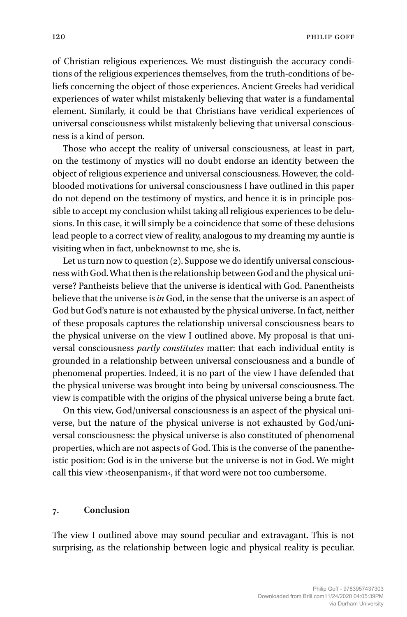of Christian religious experiences. We must distinguish the accuracy conditions of the religious experiences themselves, from the truth-conditions of beliefs concerning the object of those experiences. Ancient Greeks had veridical experiences of water whilst mistakenly believing that water is a fundamental element. Similarly, it could be that Christians have veridical experiences of universal consciousness whilst mistakenly believing that universal consciousness is a kind of person.

Those who accept the reality of universal consciousness, at least in part, on the testimony of mystics will no doubt endorse an identity between the object of religious experience and universal consciousness. However, the coldblooded motivations for universal consciousness I have outlined in this paper do not depend on the testimony of mystics, and hence it is in principle possible to accept my conclusion whilst taking all religious experiences to be delusions. In this case, it will simply be a coincidence that some of these delusions lead people to a correct view of reality, analogous to my dreaming my auntie is visiting when in fact, unbeknownst to me, she is.

Let us turn now to question (2). Suppose we do identify universal consciousness with God. What then is the relationship between God and the physical universe? Pantheists believe that the universe is identical with God. Panentheists believe that the universe is *in* God, in the sense that the universe is an aspect of God but God's nature is not exhausted by the physical universe. In fact, neither of these proposals captures the relationship universal consciousness bears to the physical universe on the view I outlined above. My proposal is that universal consciousness *partly constitutes* matter: that each individual entity is grounded in a relationship between universal consciousness and a bundle of phenomenal properties. Indeed, it is no part of the view I have defended that the physical universe was brought into being by universal consciousness. The view is compatible with the origins of the physical universe being a brute fact.

On this view, God/universal consciousness is an aspect of the physical universe, but the nature of the physical universe is not exhausted by God/universal consciousness: the physical universe is also constituted of phenomenal properties, which are not aspects of God. This is the converse of the panentheistic position: God is in the universe but the universe is not in God. We might call this view >theosenpanism<, if that word were not too cumbersome.

#### **7. Conclusion**

The view I outlined above may sound peculiar and extravagant. This is not surprising, as the relationship between logic and physical reality is peculiar.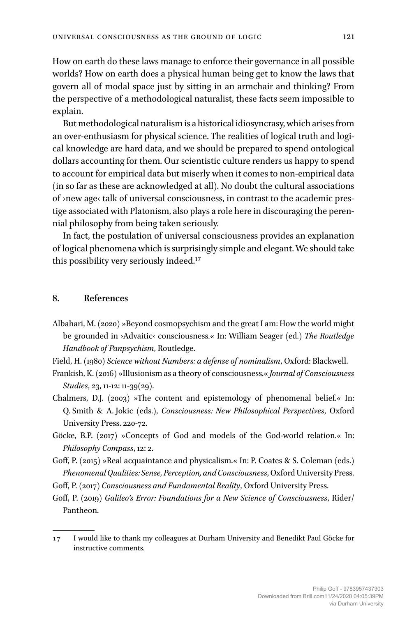How on earth do these laws manage to enforce their governance in all possible worlds? How on earth does a physical human being get to know the laws that govern all of modal space just by sitting in an armchair and thinking? From the perspective of a methodological naturalist, these facts seem impossible to explain.

But methodological naturalism is a historical idiosyncrasy, which arises from an over-enthusiasm for physical science. The realities of logical truth and logical knowledge are hard data, and we should be prepared to spend ontological dollars accounting for them. Our scientistic culture renders us happy to spend to account for empirical data but miserly when it comes to non-empirical data (in so far as these are acknowledged at all). No doubt the cultural associations of ›new age‹ talk of universal consciousness, in contrast to the academic prestige associated with Platonism, also plays a role here in discouraging the perennial philosophy from being taken seriously.

In fact, the postulation of universal consciousness provides an explanation of logical phenomena which is surprisingly simple and elegant. We should take this possibility very seriously indeed.17

#### **8. References**

- Albahari, M. (2020) »Beyond cosmopsychism and the great I am: How the world might be grounded in ›Advaitic‹ consciousness.« In: William Seager (ed.) *The Routledge Handbook of Panpsychism*, Routledge.
- Field, H. (1980) *Science without Numbers: a defense of nominalism*, Oxford: Blackwell.
- Frankish, K. (2016) »Illusionism as a theory of consciousness.« *Journal of Consciousness Studies*, 23, 11-12: 11-39(29).
- Chalmers, D.J. (2003) »The content and epistemology of phenomenal belief.« In: Q. Smith & A. Jokic (eds.), *Consciousness: New Philosophical Perspectives*, Oxford University Press. 220-72.
- Göcke, B.P. (2017) »Concepts of God and models of the God-world relation.« In: *Philosophy Compass*, 12: 2.
- Goff, P. (2015) »Real acquaintance and physicalism.« In: P. Coates & S. Coleman (eds.) *Phenomenal Qualities: Sense, Perception, and Consciousness*, Oxford University Press.
- Goff, P. (2017) *Consciousness and Fundamental Reality*, Oxford University Press.
- Goff, P. (2019) *Galileo's Error: Foundations for a New Science of Consciousness*, Rider/ Pantheon.

<sup>17</sup> I would like to thank my colleagues at Durham University and Benedikt Paul Göcke for instructive comments.